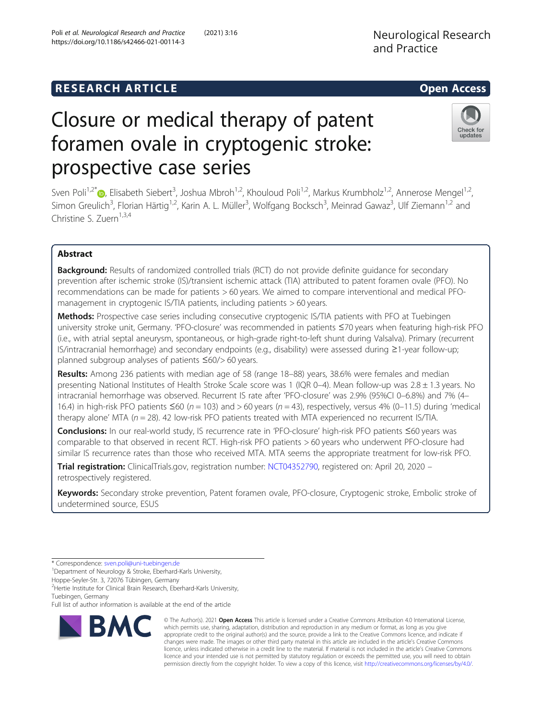# **RESEARCH ARTICLE Example 2014 12:30 The SEAR CH ACCESS**

# Closure or medical therapy of patent foramen ovale in cryptogenic stroke: prospective case series

Sven Poli<sup>1[,](http://orcid.org/0000-0002-0286-8781)2\*</sup> , Elisabeth Siebert<sup>3</sup>, Joshua Mbroh<sup>1,2</sup>, Khouloud Poli<sup>1,2</sup>, Markus Krumbholz<sup>1,2</sup>, Annerose Mengel<sup>1,2</sup>, Simon Greulich<sup>3</sup>, Florian Härtig<sup>1,2</sup>, Karin A. L. Müller<sup>3</sup>, Wolfgang Bocksch<sup>3</sup>, Meinrad Gawaz<sup>3</sup>, Ulf Ziemann<sup>1,2</sup> and  $Christine S. Zuern<sup>1,3,4</sup>$ 

## Abstract

**Background:** Results of randomized controlled trials (RCT) do not provide definite quidance for secondary prevention after ischemic stroke (IS)/transient ischemic attack (TIA) attributed to patent foramen ovale (PFO). No recommendations can be made for patients > 60 years. We aimed to compare interventional and medical PFOmanagement in cryptogenic IS/TIA patients, including patients > 60 years.

Methods: Prospective case series including consecutive cryptogenic IS/TIA patients with PFO at Tuebingen university stroke unit, Germany. 'PFO-closure' was recommended in patients ≤70 years when featuring high-risk PFO (i.e., with atrial septal aneurysm, spontaneous, or high-grade right-to-left shunt during Valsalva). Primary (recurrent IS/intracranial hemorrhage) and secondary endpoints (e.g., disability) were assessed during ≥1-year follow-up; planned subgroup analyses of patients ≤60/> 60 years.

Results: Among 236 patients with median age of 58 (range 18–88) years, 38.6% were females and median presenting National Institutes of Health Stroke Scale score was 1 (IQR 0–4). Mean follow-up was 2.8 ± 1.3 years. No intracranial hemorrhage was observed. Recurrent IS rate after 'PFO-closure' was 2.9% (95%CI 0–6.8%) and 7% (4– 16.4) in high-risk PFO patients ≤60 ( $n = 103$ ) and > 60 years ( $n = 43$ ), respectively, versus 4% (0–11.5) during 'medical therapy alone' MTA ( $n = 28$ ). 42 low-risk PFO patients treated with MTA experienced no recurrent IS/TIA.

Conclusions: In our real-world study, IS recurrence rate in 'PFO-closure' high-risk PFO patients ≤60 years was comparable to that observed in recent RCT. High-risk PFO patients > 60 years who underwent PFO-closure had similar IS recurrence rates than those who received MTA. MTA seems the appropriate treatment for low-risk PFO.

Trial registration: ClinicalTrials.gov, registration number: [NCT04352790,](https://clinicaltrials.gov/ct2/show/NCT04352790) registered on: April 20, 2020 retrospectively registered.

Keywords: Secondary stroke prevention, Patent foramen ovale, PFO-closure, Cryptogenic stroke, Embolic stroke of undetermined source, ESUS



Neurological Research and Practice





<sup>\*</sup> Correspondence: [sven.poli@uni-tuebingen.de](mailto:sven.poli@uni-tuebingen.de) <sup>1</sup>

<sup>&</sup>lt;sup>1</sup>Department of Neurology & Stroke, Eberhard-Karls University,

Hoppe-Seyler-Str. 3, 72076 Tübingen, Germany

<sup>&</sup>lt;sup>2</sup> Hertie Institute for Clinical Brain Research, Eberhard-Karls University, Tuebingen, Germany

Full list of author information is available at the end of the article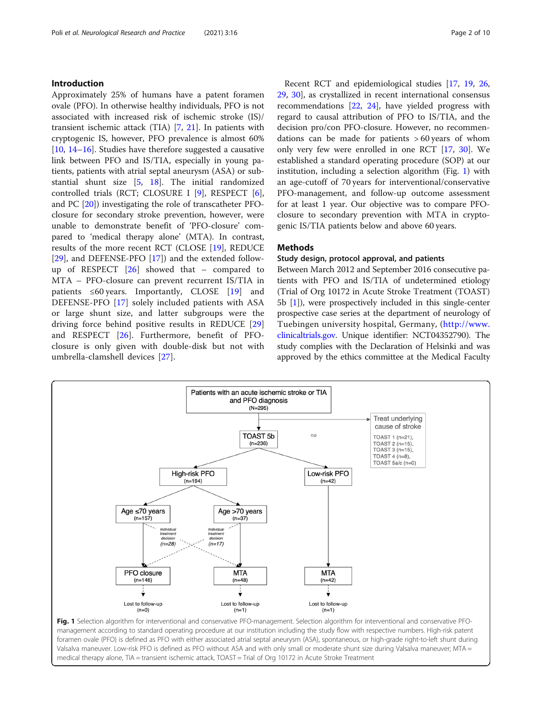#### <span id="page-1-0"></span>Introduction

Approximately 25% of humans have a patent foramen ovale (PFO). In otherwise healthy individuals, PFO is not associated with increased risk of ischemic stroke (IS)/ transient ischemic attack (TIA) [\[7](#page-8-0), [21](#page-9-0)]. In patients with cryptogenic IS, however, PFO prevalence is almost 60% [[10,](#page-8-0) [14](#page-8-0)–[16\]](#page-9-0). Studies have therefore suggested a causative link between PFO and IS/TIA, especially in young patients, patients with atrial septal aneurysm (ASA) or substantial shunt size [\[5,](#page-8-0) [18\]](#page-9-0). The initial randomized controlled trials (RCT; CLOSURE I [[9\]](#page-8-0), RESPECT [\[6](#page-8-0)], and PC [\[20\]](#page-9-0)) investigating the role of transcatheter PFOclosure for secondary stroke prevention, however, were unable to demonstrate benefit of 'PFO-closure' compared to 'medical therapy alone' (MTA). In contrast, results of the more recent RCT (CLOSE [[19](#page-9-0)], REDUCE [[29\]](#page-9-0), and DEFENSE-PFO [[17\]](#page-9-0)) and the extended followup of RESPECT  $[26]$  $[26]$  showed that – compared to MTA – PFO-closure can prevent recurrent IS/TIA in patients  $\leq 60$  years. Importantly, CLOSE [[19\]](#page-9-0) and DEFENSE-PFO [[17](#page-9-0)] solely included patients with ASA or large shunt size, and latter subgroups were the driving force behind positive results in REDUCE [\[29](#page-9-0)] and RESPECT [\[26](#page-9-0)]. Furthermore, benefit of PFOclosure is only given with double-disk but not with umbrella-clamshell devices [\[27](#page-9-0)].

Recent RCT and epidemiological studies [\[17](#page-9-0), [19,](#page-9-0) [26](#page-9-0), [29,](#page-9-0) [30](#page-9-0)], as crystallized in recent international consensus recommendations [\[22](#page-9-0), [24](#page-9-0)], have yielded progress with regard to causal attribution of PFO to IS/TIA, and the decision pro/con PFO-closure. However, no recommendations can be made for patients > 60 years of whom only very few were enrolled in one RCT [[17,](#page-9-0) [30](#page-9-0)]. We established a standard operating procedure (SOP) at our institution, including a selection algorithm (Fig. 1) with an age-cutoff of 70 years for interventional/conservative PFO-management, and follow-up outcome assessment for at least 1 year. Our objective was to compare PFOclosure to secondary prevention with MTA in cryptogenic IS/TIA patients below and above 60 years.

#### **Methods**

#### Study design, protocol approval, and patients

Between March 2012 and September 2016 consecutive patients with PFO and IS/TIA of undetermined etiology (Trial of Org 10172 in Acute Stroke Treatment (TOAST) 5b [[1\]](#page-8-0)), were prospectively included in this single-center prospective case series at the department of neurology of Tuebingen university hospital, Germany, ([http://www.](http://www.clinicaltrials.gov) [clinicaltrials.gov.](http://www.clinicaltrials.gov) Unique identifier: NCT04352790). The study complies with the Declaration of Helsinki and was approved by the ethics committee at the Medical Faculty



Fig. 1 Selection algorithm for interventional and conservative PFO-management. Selection algorithm for interventional and conservative PFOmanagement according to standard operating procedure at our institution including the study flow with respective numbers. High-risk patent foramen ovale (PFO) is defined as PFO with either associated atrial septal aneurysm (ASA), spontaneous, or high-grade right-to-left shunt during Valsalva maneuver. Low-risk PFO is defined as PFO without ASA and with only small or moderate shunt size during Valsalva maneuver; MTA = medical therapy alone, TIA = transient ischemic attack, TOAST = Trial of Org 10172 in Acute Stroke Treatment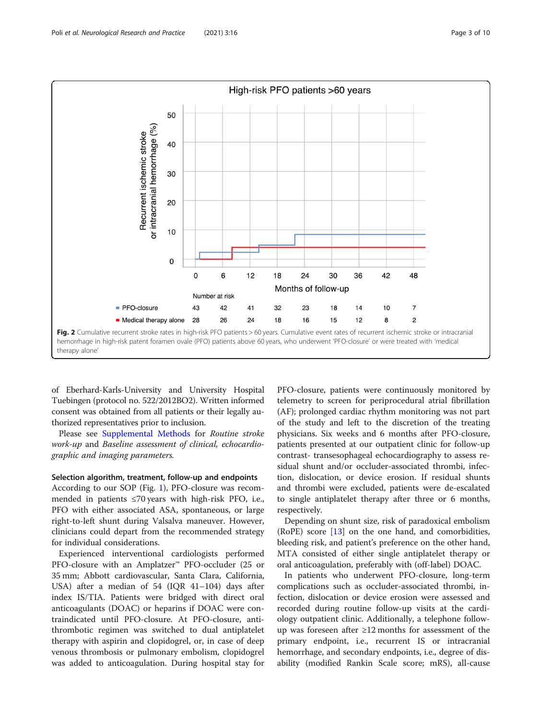<span id="page-2-0"></span>

of Eberhard-Karls-University and University Hospital Tuebingen (protocol no. 522/2012BO2). Written informed consent was obtained from all patients or their legally authorized representatives prior to inclusion.

Please see [Supplemental Methods](#page-8-0) for Routine stroke work-up and Baseline assessment of clinical, echocardiographic and imaging parameters.

#### Selection algorithm, treatment, follow-up and endpoints

According to our SOP (Fig. [1](#page-1-0)), PFO-closure was recommended in patients ≤70 years with high-risk PFO, i.e., PFO with either associated ASA, spontaneous, or large right-to-left shunt during Valsalva maneuver. However, clinicians could depart from the recommended strategy for individual considerations.

Experienced interventional cardiologists performed PFO-closure with an Amplatzer™ PFO-occluder (25 or 35 mm; Abbott cardiovascular, Santa Clara, California, USA) after a median of 54 (IQR 41–104) days after index IS/TIA. Patients were bridged with direct oral anticoagulants (DOAC) or heparins if DOAC were contraindicated until PFO-closure. At PFO-closure, antithrombotic regimen was switched to dual antiplatelet therapy with aspirin and clopidogrel, or, in case of deep venous thrombosis or pulmonary embolism, clopidogrel was added to anticoagulation. During hospital stay for

PFO-closure, patients were continuously monitored by telemetry to screen for periprocedural atrial fibrillation (AF); prolonged cardiac rhythm monitoring was not part of the study and left to the discretion of the treating physicians. Six weeks and 6 months after PFO-closure, patients presented at our outpatient clinic for follow-up contrast- transesophageal echocardiography to assess residual shunt and/or occluder-associated thrombi, infection, dislocation, or device erosion. If residual shunts and thrombi were excluded, patients were de-escalated to single antiplatelet therapy after three or 6 months, respectively.

Depending on shunt size, risk of paradoxical embolism (RoPE) score [\[13](#page-8-0)] on the one hand, and comorbidities, bleeding risk, and patient's preference on the other hand, MTA consisted of either single antiplatelet therapy or oral anticoagulation, preferably with (off-label) DOAC.

In patients who underwent PFO-closure, long-term complications such as occluder-associated thrombi, infection, dislocation or device erosion were assessed and recorded during routine follow-up visits at the cardiology outpatient clinic. Additionally, a telephone followup was foreseen after ≥12 months for assessment of the primary endpoint, i.e., recurrent IS or intracranial hemorrhage, and secondary endpoints, i.e., degree of disability (modified Rankin Scale score; mRS), all-cause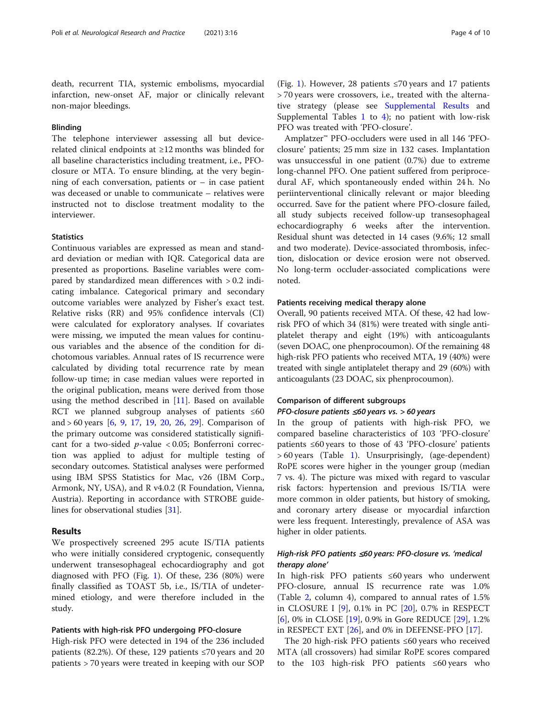death, recurrent TIA, systemic embolisms, myocardial infarction, new-onset AF, major or clinically relevant non-major bleedings.

#### Blinding

The telephone interviewer assessing all but devicerelated clinical endpoints at ≥12 months was blinded for all baseline characteristics including treatment, i.e., PFOclosure or MTA. To ensure blinding, at the very beginning of each conversation, patients or  $-$  in case patient was deceased or unable to communicate – relatives were instructed not to disclose treatment modality to the interviewer.

#### **Statistics**

Continuous variables are expressed as mean and standard deviation or median with IQR. Categorical data are presented as proportions. Baseline variables were compared by standardized mean differences with > 0.2 indicating imbalance. Categorical primary and secondary outcome variables were analyzed by Fisher's exact test. Relative risks (RR) and 95% confidence intervals (CI) were calculated for exploratory analyses. If covariates were missing, we imputed the mean values for continuous variables and the absence of the condition for dichotomous variables. Annual rates of IS recurrence were calculated by dividing total recurrence rate by mean follow-up time; in case median values were reported in the original publication, means were derived from those using the method described in  $[11]$  $[11]$ . Based on available RCT we planned subgroup analyses of patients ≤60 and > 60 years [[6,](#page-8-0) [9](#page-8-0), [17](#page-9-0), [19,](#page-9-0) [20,](#page-9-0) [26](#page-9-0), [29](#page-9-0)]. Comparison of the primary outcome was considered statistically significant for a two-sided  $p$ -value < 0.05; Bonferroni correction was applied to adjust for multiple testing of secondary outcomes. Statistical analyses were performed using IBM SPSS Statistics for Mac, v26 (IBM Corp., Armonk, NY, USA), and R v4.0.2 (R Foundation, Vienna, Austria). Reporting in accordance with STROBE guidelines for observational studies [\[31](#page-9-0)].

#### Results

We prospectively screened 295 acute IS/TIA patients who were initially considered cryptogenic, consequently underwent transesophageal echocardiography and got diagnosed with PFO (Fig. [1](#page-1-0)). Of these, 236 (80%) were finally classified as TOAST 5b, i.e., IS/TIA of undetermined etiology, and were therefore included in the study.

#### Patients with high-risk PFO undergoing PFO-closure

High-risk PFO were detected in 194 of the 236 included patients (82.2%). Of these, 129 patients ≤70 years and 20 patients > 70 years were treated in keeping with our SOP

(Fig. [1](#page-1-0)). However, 28 patients  $\leq 70$  years and 17 patients > 70 years were crossovers, i.e., treated with the alternative strategy (please see [Supplemental Results](#page-8-0) and Supplemental Tables [1](#page-8-0) to [4](#page-8-0)); no patient with low-risk PFO was treated with 'PFO-closure'.

Amplatzer™ PFO-occluders were used in all 146 'PFOclosure' patients; 25 mm size in 132 cases. Implantation was unsuccessful in one patient (0.7%) due to extreme long-channel PFO. One patient suffered from periprocedural AF, which spontaneously ended within 24 h. No periinterventional clinically relevant or major bleeding occurred. Save for the patient where PFO-closure failed, all study subjects received follow-up transesophageal echocardiography 6 weeks after the intervention. Residual shunt was detected in 14 cases (9.6%; 12 small and two moderate). Device-associated thrombosis, infection, dislocation or device erosion were not observed. No long-term occluder-associated complications were noted.

#### Patients receiving medical therapy alone

Overall, 90 patients received MTA. Of these, 42 had lowrisk PFO of which 34 (81%) were treated with single antiplatelet therapy and eight (19%) with anticoagulants (seven DOAC, one phenprocoumon). Of the remaining 48 high-risk PFO patients who received MTA, 19 (40%) were treated with single antiplatelet therapy and 29 (60%) with anticoagulants (23 DOAC, six phenprocoumon).

#### Comparison of different subgroups

#### PFO-closure patients ≤60 years vs. > 60 years

In the group of patients with high-risk PFO, we compared baseline characteristics of 103 'PFO-closure' patients ≤60 years to those of 43 'PFO-closure' patients > 60 years (Table [1](#page-4-0)). Unsurprisingly, (age-dependent) RoPE scores were higher in the younger group (median 7 vs. 4). The picture was mixed with regard to vascular risk factors: hypertension and previous IS/TIA were more common in older patients, but history of smoking, and coronary artery disease or myocardial infarction were less frequent. Interestingly, prevalence of ASA was higher in older patients.

## High-risk PFO patients ≤60 years: PFO-closure vs. 'medical therapy alone'

In high-risk PFO patients ≤60 years who underwent PFO-closure, annual IS recurrence rate was 1.0% (Table [2,](#page-5-0) column 4), compared to annual rates of 1.5% in CLOSURE I [[9\]](#page-8-0), 0.1% in PC [[20](#page-9-0)], 0.7% in RESPECT [[6\]](#page-8-0), 0% in CLOSE [\[19](#page-9-0)], 0.9% in Gore REDUCE [[29](#page-9-0)], 1.2% in RESPECT EXT  $[26]$  $[26]$ , and 0% in DEFENSE-PFO  $[17]$  $[17]$ .

The 20 high-risk PFO patients ≤60 years who received MTA (all crossovers) had similar RoPE scores compared to the 103 high-risk PFO patients ≤60 years who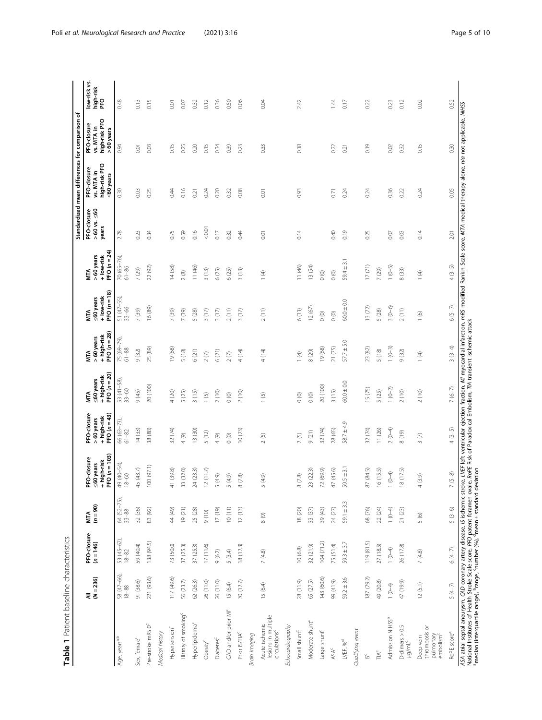<span id="page-4-0"></span>

|                                                                   |                      |                            |                          |                                                           |                                                        |                                                 |                                                  |                                                             |                                                        |                                             | Standardized mean differences for comparison            |                                                           | ৳                                |
|-------------------------------------------------------------------|----------------------|----------------------------|--------------------------|-----------------------------------------------------------|--------------------------------------------------------|-------------------------------------------------|--------------------------------------------------|-------------------------------------------------------------|--------------------------------------------------------|---------------------------------------------|---------------------------------------------------------|-----------------------------------------------------------|----------------------------------|
|                                                                   | $(N = 236)$<br>₹     | PFO-closure<br>$(n = 146)$ | $(n = 90)$<br><b>NTA</b> | $FO(n = 103)$<br>FO-closure<br>high-risk<br>60 years<br>م | PFO-dosure<br>PFO $(n=43)$<br>+ high-risk<br>>60 years | PFO $(n=20)$<br>+ high-risk<br>≤60 years<br>MTA | PFO $(n = 28)$<br>+ high-risk<br>>60years<br>NTA | $PFO(n = 18)$<br>+ low-risk<br>$\leq$ 60 years<br>ÑК        | PFO $(n = 24)$<br>>60years<br>+ low-risk<br><b>MTA</b> | PFO-closure<br>$>60$ vs. $\leq 60$<br>years | high-risk PFO<br>PFO-closure<br>vs. MTA in<br>≤60 years | vs. MTA in<br>high-risk PFO<br>PFO-closure<br>$>60$ years | low-risk vs.<br>high-risk<br>PFO |
| Age, years <sup>a,b</sup>                                         | 58 (47-66),<br>18-88 | 53 (45-62),<br>18-82       | 64 (52-75),<br>33-88     | 49 (40-54),<br>$8 - 60$                                   | 66 (63-73),<br>61-82                                   | $53(41-58)$ ,<br>$33-60$                        | 75 (69-79)<br>$61 - 88$                          | 51 (47-55)<br>$33 - 66$                                     | $70(65 - 76)$<br>$61 - 86$                             | 2.78                                        | 0.30                                                    | 0.94                                                      | 0.48                             |
| Sex, female <sup>c</sup>                                          | 91 (38.6)            | 59 (40.4)                  | 32 (36)                  | 45 (43.7)                                                 | 14(33)                                                 | 9(45)                                           | 9(32)                                            | 7 (39)                                                      | 7 (29)                                                 | 0.23                                        | 0.03                                                    | 0.01                                                      | 0.13                             |
| Pre-stroke mRS 0 <sup>c</sup>                                     | 221 (93.6)           | 138 (94.5)                 | 83 (92)                  | 100(97.1)                                                 | (88)<br>$\frac{8}{20}$                                 | 20 (100)                                        | 25 (89)                                          | 16 (89)                                                     | 22 (92)                                                | 0.34                                        | 0.25                                                    | 0.03                                                      | 0.15                             |
| Medical history                                                   |                      |                            |                          |                                                           |                                                        |                                                 |                                                  |                                                             |                                                        |                                             |                                                         |                                                           |                                  |
| Hypertension <sup>c</sup>                                         | 117 (49.6)           | 73 (50.0)                  | $(6)$ #                  | 41 (39.8)                                                 | 32 (74)                                                | 4 (20)                                          | 19 (68)                                          | 7 (39)                                                      | 14 (58)                                                | 0.75                                        | 0.44                                                    | 0.15                                                      | 0.01                             |
| History of smoking <sup>c</sup>                                   | 56 (23.7)            | 37 (25.3)                  | 19 (21)                  | 33 (32.0)                                                 | $\circledcirc$<br>$\overline{\phantom{a}}$             | 5(25)                                           | 5(18)                                            | 7 (39)                                                      | $2(8)$                                                 | 0.59                                        | 0.16                                                    | 0.25                                                      | 0.07                             |
| Hyperlipidemia <sup>c</sup>                                       | 62 (26.3)            | 37(253)                    | 25 (28)                  | 24 (23.3)                                                 | 13 (30)                                                | 3(15)                                           | 6(21)                                            | 5 (28)                                                      | 11(46)                                                 | 0.16                                        | 0.21                                                    | 0.20                                                      | 0.32                             |
| Obesity <sup>c</sup>                                              | 26 (11.0)            | 17(11.6)                   | (10)                     | 12(11.7)                                                  | 5(12)                                                  | 1(5)                                            | $2\left(7\right)$                                | 3(17)                                                       | 3(13)                                                  | $< 0.01$                                    | 0.24                                                    | 0.15                                                      | 0.12                             |
| Diabetes <sup>c</sup>                                             | 26 (11.0)            | 9(6.2)                     | (61) 11                  | (4.9)                                                     | 4(9)                                                   | 2(10)                                           | 6(21)                                            | 3(17)                                                       | 6(25)                                                  | $0.17$                                      | 0.20                                                    | 0.34                                                      | 0.36                             |
| CAD and/or prior MI <sup>c</sup>                                  | 15 (6.4)             | 5(3.4)                     | 10(11)                   | (4.9)                                                     | $_{\rm 0}$ $_{\rm 0}$                                  | $\circ$                                         | $2\left(7\right)$                                | 2(11)                                                       | 6(25)                                                  | 0.32                                        | 0.32                                                    | 039                                                       | 0.50                             |
| Prior IS/TIA <sup>C</sup>                                         | 30 (12.7)            | 18(123)                    | 12(13)                   | (7.8)<br>$\infty$                                         | 10(23)                                                 | 2(10)                                           | 4(14)                                            | $(17)$<br>$\infty$                                          | 3(13)                                                  | 0.44                                        | 0.08                                                    | 0.23                                                      | 0.06                             |
| Brain imaging                                                     |                      |                            |                          |                                                           |                                                        |                                                 |                                                  |                                                             |                                                        |                                             |                                                         |                                                           |                                  |
| lesions in multiple<br>Acute ischemic<br>drculations <sup>c</sup> | 15 (6.4)             | 7(4.8)                     | 8(9)                     | (4.9)<br>Б                                                | ⊙<br>$\sim$                                            | $\odot$<br>$\overline{ }$                       | 4 (14)                                           | $2(11)$                                                     | $\bigoplus$<br>$\overline{ }$                          | 0.01                                        | 0.01                                                    | 0.33                                                      | 0.04                             |
| Echocardiography                                                  |                      |                            |                          |                                                           |                                                        |                                                 |                                                  |                                                             |                                                        |                                             |                                                         |                                                           |                                  |
| Small shunt <sup>c</sup>                                          | 28 (11.9)            | 10(6.8)                    | 18 (20)                  | $\left( 7.8\right)$<br>$\infty$                           | $2(5)$                                                 | $\circ$                                         | $\mathfrak{D}$<br>$\overline{a}$                 | 6 (33)                                                      | 11(46)                                                 | 0.14                                        | 0.93                                                    | 0.18                                                      | 2.42                             |
| Moderate shunt <sup>c</sup>                                       | 65 (27.5)            | 32 (21.9)                  | 33 $(37)$                | 23(22.3)                                                  | 9(21)                                                  | $_{\odot}$ $\odot$                              | 8(29)                                            | 12(67)                                                      | 13 (54)                                                |                                             |                                                         |                                                           |                                  |
| Large shunt <sup>c</sup>                                          | 143 (60.6)           | 104(71.2)                  | 39 (43)                  | 72 (69.9)                                                 | 32 (74)                                                | 20 (100)                                        | 19 (68)                                          | $\circ$                                                     | $\circ$                                                |                                             |                                                         |                                                           |                                  |
| <b>ASA<sup>c</sup></b>                                            | 99 (41.9)            | 75 (51.4)                  | $24(27)$                 | 47 (45.6)                                                 | 28 (65)                                                | 3(15)                                           | 21 (75)                                          | $\circ$                                                     | $\circ$ $^{o}$                                         | 0.40                                        | $\overline{0.71}$                                       | 0.22                                                      | 1.44                             |
| LVEF, $\%^d$                                                      | $592 \pm 3.6$        | $59.3 \pm 3.7$             | $59.1 \pm 3.3$           | $9.5 \pm 3.1$<br>Ч                                        | $58.7 \pm 4.9$                                         | $60.0 \pm 0.0$                                  | $57.7 \pm 5.0$                                   | $60.0 \pm 0.0$                                              | $59.4 \pm 3.1$                                         | 0.19                                        | 0.24                                                    | 0.21                                                      | $0.17$                           |
| Qualifying event                                                  |                      |                            |                          |                                                           |                                                        |                                                 |                                                  |                                                             |                                                        |                                             |                                                         |                                                           |                                  |
| $\leq$                                                            | 187 (79.2)           | 119 (81.5)                 | 68 (76)                  | (84.5)<br>87                                              | 32 (74)                                                | 15 (75)                                         | 23 (82)                                          | 13 (72)                                                     | 17(71)                                                 | 0.25                                        | 0.24                                                    | 0.19                                                      | 0.22                             |
| $\mathbb{T} \mathbb{A}^c$                                         | 49 (20.8)            | 27 (185)                   | 22(24)                   | 6(15.5)                                                   | 11(26)                                                 | 5 (25)                                          | 5(18)                                            | 5 (28)                                                      | 7 (29)                                                 |                                             |                                                         |                                                           |                                  |
| Admission NIHSS <sup>a</sup>                                      | $1 (0 - 4)$          | $1(0-4)$                   | $1(0-4)$                 | $(6-0)$                                                   | $(0-4)$<br>$\sim$                                      | $1(0-2)$                                        | $1(0-3)$                                         | $\widehat{\Theta}$<br>$\infty$                              | $1(0-5)$                                               | 0.07                                        | 0.36                                                    | 0.02                                                      | 0.23                             |
| $D$ -dimers $> 0.5$<br>$\mu g/m L^c$                              | 47 (19.9)            | 26 (17.8)                  | 21(23)                   | (17.5)<br>$\infty$                                        | (19)<br>$\infty$                                       | (10)<br>$\sim$                                  | (32)<br>$\circ$                                  | $\left( \begin{matrix} 1\\ 1\end{matrix} \right)$<br>$\sim$ | 8(33)                                                  | 0.03                                        | 0.22                                                    | 032                                                       | 0.12                             |
| thrombosis or<br>pulmonary<br>embolism <sup>c</sup><br>Deep vein  | 12(5.1)              | $7\ (4.8)$                 | 5(6)                     | $(3.9)$                                                   | S<br>$\sim$                                            | $\odot$<br>$\sim$                               | E<br>$\overline{\phantom{0}}$                    | $\circledcirc$<br>$\overline{ }$                            | E<br>$\overline{ }$                                    | 0.14                                        | 0.24                                                    | 0.15                                                      | 0.02                             |
| RoPE score <sup>a</sup>                                           | $5(4-7)$             | $6(4-7)$                   | $5(3-6)$                 | $(5 - 8)$                                                 | $(3-5)$<br>4                                           | $7(6-7)$                                        | $3(3-4)$                                         | $6(5-7)$                                                    | $4(3-5)$                                               | 2.01                                        | 0.05                                                    | 030                                                       | 0.52                             |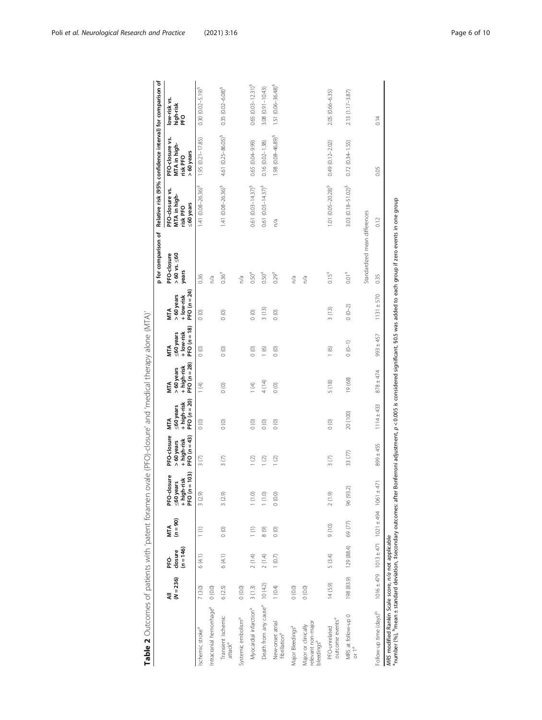<span id="page-5-0"></span>

|                                                                                                                                                                                                                                                   |                  |                                    |                                                             |                                                            |                                                             |                                                          |                                                          |                                                         |                                                         | p for comparison of                         |                                                         | Relative risk (95% confidence interval) for comparison of |                                         |
|---------------------------------------------------------------------------------------------------------------------------------------------------------------------------------------------------------------------------------------------------|------------------|------------------------------------|-------------------------------------------------------------|------------------------------------------------------------|-------------------------------------------------------------|----------------------------------------------------------|----------------------------------------------------------|---------------------------------------------------------|---------------------------------------------------------|---------------------------------------------|---------------------------------------------------------|-----------------------------------------------------------|-----------------------------------------|
|                                                                                                                                                                                                                                                   | $(N = 236)$<br>₹ | $(n = 146)$<br>closure<br><u>ዕ</u> | $(n = 90)$<br><b>MTA</b>                                    | PFO $(n = 103)$<br>PFO-closure<br>+ high-risk<br>≤60 years | PFO-closure<br>PFO $(n = 43)$<br>+ high-risk<br>$>60$ years | PFO $(n = 20)$<br>+ high-risk<br>≤60 years<br><b>MTA</b> | PFO $(n = 28)$<br>+ high-risk<br>>60 years<br><b>MTA</b> | PFO $(n = 18)$<br>+ low-risk<br>≤60 years<br><b>MTA</b> | PFO $(n = 24)$<br>>60 years<br>+ low-risk<br><b>MTA</b> | $>60$ vs. $\leq 60$<br>PFO-closure<br>years | PFO-dosure vs.<br>MTA in high-<br>≤60 years<br>risk PFO | PFO-closure vs.<br>MTA in high-<br>>60 years<br>risk PFO  | low-risk vs.<br>high-risk<br><b>PEO</b> |
| Ischemic stroke <sup>a</sup>                                                                                                                                                                                                                      | 7(3.0)           | 6(4.1)                             | $\binom{1}{1}$                                              | 3(2.9)                                                     | $\frac{3}{2}$                                               | $\circ$                                                  | $\frac{1}{4}$                                            | $\circ$                                                 | $\circ$                                                 | 0.36                                        | $1.41$ $(0.08 - 26.36)^5$                               | $1.95(0.21 - 17.85)$                                      | $0.30(0.02 - 5.19)^9$                   |
| Intracranial hemorrhage <sup>a</sup>                                                                                                                                                                                                              | (0.0) 0          |                                    |                                                             |                                                            |                                                             |                                                          |                                                          |                                                         |                                                         | n/a                                         |                                                         |                                                           |                                         |
| Transient ischemic<br>$\mathsf{attack}^{\mathsf{a}}$                                                                                                                                                                                              | 6(2.5)           | 6(4.1)                             | $\circ$                                                     | 3(2.9)                                                     | 3(7)                                                        | $\circ$                                                  | $\frac{0}{0}$                                            | $\circ$                                                 | $\circ$                                                 | $0.36^{+}$                                  | $1.41 (0.08 - 26.36)^9$                                 | 4.61 (0.25-86.05) <sup>§</sup>                            | $0.35(0.02 - 6.08)^9$                   |
| Systemic embolism <sup>a</sup>                                                                                                                                                                                                                    | (0.0) 0          |                                    |                                                             |                                                            |                                                             |                                                          |                                                          |                                                         |                                                         | n/a                                         |                                                         |                                                           |                                         |
| Myocardial infarction <sup>a</sup>                                                                                                                                                                                                                | 3(1.3)           | 2(1.4)                             | $\left( \begin{matrix} 1 \\ 1 \end{matrix} \right)$         | $1(1.0)$                                                   | 1(2)                                                        | (0)                                                      | $\frac{1}{2}$                                            | $\circ$                                                 | $\circ$                                                 | $0.50^{*}$                                  | 0.61 $(0.03 - 14.37)^9$                                 | 0.65 (0.04-9.99)                                          | $0.65 (0.03 - 12.31)^9$                 |
| Death from any cause <sup>a</sup>                                                                                                                                                                                                                 | 10(42)           | 2(1.4)                             | ම<br>$\infty$                                               | (1.0)                                                      | $\odot$                                                     | $\circ$                                                  | 4(14)                                                    | $\circledcirc$                                          | 3(13)                                                   | $0.50^{*}$                                  | $0.61$ $(0.03 - 14.37)^9$                               | $0.16(0.02 - 1.38)$                                       | 3.08 (0.91-10.43)                       |
| New-onset atrial<br>fibrillation <sup>a</sup>                                                                                                                                                                                                     | 1(0.4)           | 1(0.7)                             | $\circ$                                                     | 0(0.0)                                                     | (2)                                                         | $\circ$                                                  | $\circ$                                                  | $\circ$                                                 | $\circ$                                                 | 0.29 <sup>†</sup>                           | n/a                                                     | $1.98(0.08 - 46.89)^9$                                    | $1.51 (0.06 - 36.48)^9$                 |
| Major Bleedings <sup>a</sup>                                                                                                                                                                                                                      | (0.0) 0          |                                    |                                                             |                                                            |                                                             |                                                          |                                                          |                                                         |                                                         | n/a                                         |                                                         |                                                           |                                         |
| relevant non-major<br>Major or clinically<br>bleedings <sup>a</sup>                                                                                                                                                                               | 0(0.0)           |                                    |                                                             |                                                            |                                                             |                                                          |                                                          |                                                         |                                                         | n/a                                         |                                                         |                                                           |                                         |
| outcome events <sup>a</sup><br>PFO-unrelated                                                                                                                                                                                                      | 14(5.9)          | 5 (3.4)                            | $(01)$ 6                                                    | 2(1.9)                                                     | $\frac{3}{2}$                                               | $\circ$                                                  | 5(18)                                                    | 1(6)                                                    | 3(13)                                                   | $0.15+$                                     | $1.01 (0.05 - 20.28)^9$                                 | $0.49(0.12 - 2.02)$                                       | 2.05 (0.66-6.35)                        |
| MRS at follow-up 0<br>or $1^a$                                                                                                                                                                                                                    | 198 (83.9)       | 129 (88.4)                         | 69 (77)                                                     | 96 (93.2)                                                  | 33 (77)                                                     | 20 (100)                                                 | 19(68)                                                   | $(0 - 1)$                                               | $0(0-2)$                                                | $0.01$ <sup><math>+</math></sup>            | 3.03 (0.18-51.02) <sup>§</sup>                          | $0.72(0.34 - 1.55)$                                       | 2.13 (1.17-3.87)                        |
|                                                                                                                                                                                                                                                   |                  |                                    |                                                             |                                                            |                                                             |                                                          |                                                          |                                                         |                                                         | Standardized mean differences               |                                                         |                                                           |                                         |
| Follow-up time (days) <sup>b</sup>                                                                                                                                                                                                                |                  |                                    | $1016 \pm 479$ $1013 \pm 471$ $1021 \pm 494$ $1061 \pm 471$ |                                                            | $899 \pm 455$                                               | $1114 \pm 433$                                           | $878 \pm 474$                                            | $993 \pm 457$                                           | $1131 \pm 570$                                          | 0.35                                        | 0.12                                                    | 0.05                                                      | 0.14                                    |
| "humber (%), "mean ± standard deviation, ‡secondary outcomes: after Bonferroni adjustment, $p < 0.005$ is considered significant, §0.5 was added to each group if zero events in one group<br>MRS modified Rankin Scale score, n/a not applicable |                  |                                    |                                                             |                                                            |                                                             |                                                          |                                                          |                                                         |                                                         |                                             |                                                         |                                                           |                                         |

Table 2 Outcomes of patients with 'patent foramen ovale (PFO)-closure' and 'medical therapy alone (MTA)' Table 2 Outcomes of patients with 'patent foramen ovale (PFO)-closure' and 'medical therapy alone (MTA)'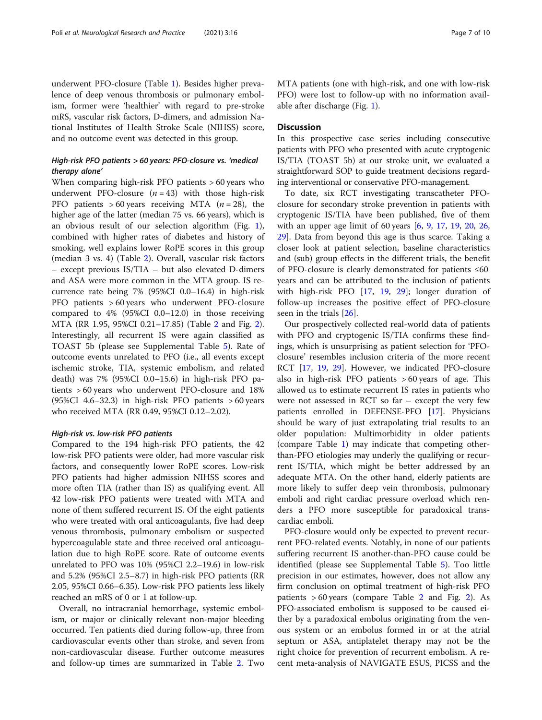underwent PFO-closure (Table [1](#page-4-0)). Besides higher prevalence of deep venous thrombosis or pulmonary embolism, former were 'healthier' with regard to pre-stroke mRS, vascular risk factors, D-dimers, and admission National Institutes of Health Stroke Scale (NIHSS) score, and no outcome event was detected in this group.

## High-risk PFO patients > 60 years: PFO-closure vs. 'medical therapy alone'

When comparing high-risk PFO patients > 60 years who underwent PFO-closure  $(n = 43)$  with those high-risk PFO patients  $> 60$  years receiving MTA ( $n = 28$ ), the higher age of the latter (median 75 vs. 66 years), which is an obvious result of our selection algorithm (Fig. [1](#page-1-0)), combined with higher rates of diabetes and history of smoking, well explains lower RoPE scores in this group (median 3 vs. 4) (Table [2](#page-5-0)). Overall, vascular risk factors – except previous IS/TIA – but also elevated D-dimers and ASA were more common in the MTA group. IS recurrence rate being 7% (95%CI 0.0–16.4) in high-risk PFO patients > 60 years who underwent PFO-closure compared to 4% (95%CI 0.0–12.0) in those receiving MTA (RR 1.95, 95%CI 0.21–17.85) (Table [2](#page-5-0) and Fig. [2](#page-2-0)). Interestingly, all recurrent IS were again classified as TOAST 5b (please see Supplemental Table [5](#page-8-0)). Rate of outcome events unrelated to PFO (i.e., all events except ischemic stroke, TIA, systemic embolism, and related death) was 7% (95%CI 0.0–15.6) in high-risk PFO patients > 60 years who underwent PFO-closure and 18% (95%CI 4.6–32.3) in high-risk PFO patients  $>60$  years who received MTA (RR 0.49, 95%CI 0.12–2.02).

#### High-risk vs. low-risk PFO patients

Compared to the 194 high-risk PFO patients, the 42 low-risk PFO patients were older, had more vascular risk factors, and consequently lower RoPE scores. Low-risk PFO patients had higher admission NIHSS scores and more often TIA (rather than IS) as qualifying event. All 42 low-risk PFO patients were treated with MTA and none of them suffered recurrent IS. Of the eight patients who were treated with oral anticoagulants, five had deep venous thrombosis, pulmonary embolism or suspected hypercoagulable state and three received oral anticoagulation due to high RoPE score. Rate of outcome events unrelated to PFO was 10% (95%CI 2.2–19.6) in low-risk and 5.2% (95%CI 2.5–8.7) in high-risk PFO patients (RR 2.05, 95%CI 0.66–6.35). Low-risk PFO patients less likely reached an mRS of 0 or 1 at follow-up.

Overall, no intracranial hemorrhage, systemic embolism, or major or clinically relevant non-major bleeding occurred. Ten patients died during follow-up, three from cardiovascular events other than stroke, and seven from non-cardiovascular disease. Further outcome measures and follow-up times are summarized in Table [2](#page-5-0). Two MTA patients (one with high-risk, and one with low-risk PFO) were lost to follow-up with no information available after discharge (Fig. [1](#page-1-0)).

#### **Discussion**

In this prospective case series including consecutive patients with PFO who presented with acute cryptogenic IS/TIA (TOAST 5b) at our stroke unit, we evaluated a straightforward SOP to guide treatment decisions regarding interventional or conservative PFO-management.

To date, six RCT investigating transcatheter PFOclosure for secondary stroke prevention in patients with cryptogenic IS/TIA have been published, five of them with an upper age limit of 60 years [\[6](#page-8-0), [9,](#page-8-0) [17](#page-9-0), [19](#page-9-0), [20,](#page-9-0) [26](#page-9-0), [29\]](#page-9-0). Data from beyond this age is thus scarce. Taking a closer look at patient selection, baseline characteristics and (sub) group effects in the different trials, the benefit of PFO-closure is clearly demonstrated for patients ≤60 years and can be attributed to the inclusion of patients with high-risk PFO [\[17](#page-9-0), [19](#page-9-0), [29\]](#page-9-0); longer duration of follow-up increases the positive effect of PFO-closure seen in the trials [[26](#page-9-0)].

Our prospectively collected real-world data of patients with PFO and cryptogenic IS/TIA confirms these findings, which is unsurprising as patient selection for 'PFOclosure' resembles inclusion criteria of the more recent RCT [[17,](#page-9-0) [19,](#page-9-0) [29](#page-9-0)]. However, we indicated PFO-closure also in high-risk PFO patients > 60 years of age. This allowed us to estimate recurrent IS rates in patients who were not assessed in RCT so far – except the very few patients enrolled in DEFENSE-PFO [[17\]](#page-9-0). Physicians should be wary of just extrapolating trial results to an older population: Multimorbidity in older patients (compare Table [1\)](#page-4-0) may indicate that competing otherthan-PFO etiologies may underly the qualifying or recurrent IS/TIA, which might be better addressed by an adequate MTA. On the other hand, elderly patients are more likely to suffer deep vein thrombosis, pulmonary emboli and right cardiac pressure overload which renders a PFO more susceptible for paradoxical transcardiac emboli.

PFO-closure would only be expected to prevent recurrent PFO-related events. Notably, in none of our patients suffering recurrent IS another-than-PFO cause could be identified (please see Supplemental Table [5](#page-8-0)). Too little precision in our estimates, however, does not allow any firm conclusion on optimal treatment of high-risk PFO patients  $> 60$  years (compare Table [2](#page-5-0) and Fig. [2\)](#page-2-0). As PFO-associated embolism is supposed to be caused either by a paradoxical embolus originating from the venous system or an embolus formed in or at the atrial septum or ASA, antiplatelet therapy may not be the right choice for prevention of recurrent embolism. A recent meta-analysis of NAVIGATE ESUS, PICSS and the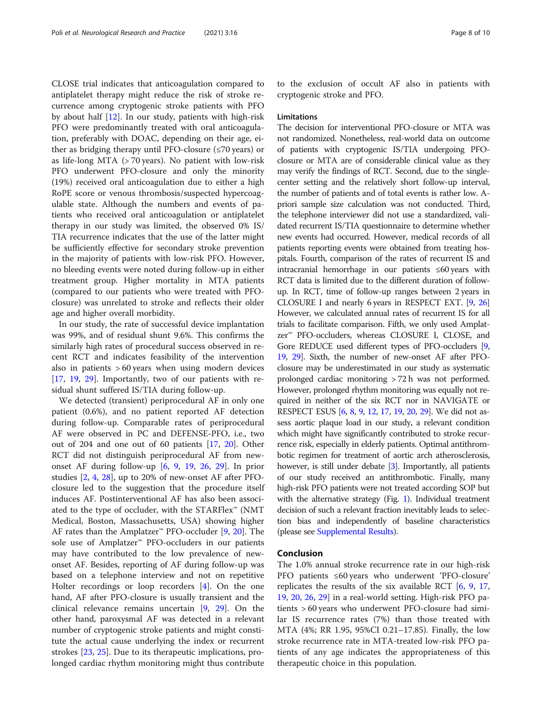CLOSE trial indicates that anticoagulation compared to antiplatelet therapy might reduce the risk of stroke recurrence among cryptogenic stroke patients with PFO by about half [\[12\]](#page-8-0). In our study, patients with high-risk PFO were predominantly treated with oral anticoagulation, preferably with DOAC, depending on their age, either as bridging therapy until PFO-closure (≤70 years) or as life-long MTA (> 70 years). No patient with low-risk PFO underwent PFO-closure and only the minority (19%) received oral anticoagulation due to either a high RoPE score or venous thrombosis/suspected hypercoagulable state. Although the numbers and events of patients who received oral anticoagulation or antiplatelet therapy in our study was limited, the observed 0% IS/ TIA recurrence indicates that the use of the latter might be sufficiently effective for secondary stroke prevention in the majority of patients with low-risk PFO. However, no bleeding events were noted during follow-up in either treatment group. Higher mortality in MTA patients (compared to our patients who were treated with PFOclosure) was unrelated to stroke and reflects their older age and higher overall morbidity.

In our study, the rate of successful device implantation was 99%, and of residual shunt 9.6%. This confirms the similarly high rates of procedural success observed in recent RCT and indicates feasibility of the intervention also in patients  $> 60$  years when using modern devices [[17,](#page-9-0) [19](#page-9-0), [29\]](#page-9-0). Importantly, two of our patients with residual shunt suffered IS/TIA during follow-up.

We detected (transient) periprocedural AF in only one patient (0.6%), and no patient reported AF detection during follow-up. Comparable rates of periprocedural AF were observed in PC and DEFENSE-PFO, i.e., two out of 204 and one out of 60 patients [\[17](#page-9-0), [20](#page-9-0)]. Other RCT did not distinguish periprocedural AF from newonset AF during follow-up [\[6](#page-8-0), [9](#page-8-0), [19,](#page-9-0) [26,](#page-9-0) [29\]](#page-9-0). In prior studies [\[2](#page-8-0), [4](#page-8-0), [28\]](#page-9-0), up to 20% of new-onset AF after PFOclosure led to the suggestion that the procedure itself induces AF. Postinterventional AF has also been associated to the type of occluder, with the STARFlex™ (NMT Medical, Boston, Massachusetts, USA) showing higher AF rates than the Amplatzer™ PFO-occluder [[9,](#page-8-0) [20\]](#page-9-0). The sole use of Amplatzer™ PFO-occluders in our patients may have contributed to the low prevalence of newonset AF. Besides, reporting of AF during follow-up was based on a telephone interview and not on repetitive Holter recordings or loop recorders [[4](#page-8-0)]. On the one hand, AF after PFO-closure is usually transient and the clinical relevance remains uncertain [\[9](#page-8-0), [29\]](#page-9-0). On the other hand, paroxysmal AF was detected in a relevant number of cryptogenic stroke patients and might constitute the actual cause underlying the index or recurrent strokes [[23,](#page-9-0) [25\]](#page-9-0). Due to its therapeutic implications, prolonged cardiac rhythm monitoring might thus contribute to the exclusion of occult AF also in patients with cryptogenic stroke and PFO.

#### **Limitations**

The decision for interventional PFO-closure or MTA was not randomized. Nonetheless, real-world data on outcome of patients with cryptogenic IS/TIA undergoing PFOclosure or MTA are of considerable clinical value as they may verify the findings of RCT. Second, due to the singlecenter setting and the relatively short follow-up interval, the number of patients and of total events is rather low. Apriori sample size calculation was not conducted. Third, the telephone interviewer did not use a standardized, validated recurrent IS/TIA questionnaire to determine whether new events had occurred. However, medical records of all patients reporting events were obtained from treating hospitals. Fourth, comparison of the rates of recurrent IS and intracranial hemorrhage in our patients ≤60 years with RCT data is limited due to the different duration of followup. In RCT, time of follow-up ranges between 2 years in CLOSURE I and nearly 6 years in RESPECT EXT. [\[9](#page-8-0), [26](#page-9-0)] However, we calculated annual rates of recurrent IS for all trials to facilitate comparison. Fifth, we only used Amplatzer™ PFO-occluders, whereas CLOSURE I, CLOSE, and Gore REDUCE used different types of PFO-occluders [[9](#page-8-0), [19](#page-9-0), [29](#page-9-0)]. Sixth, the number of new-onset AF after PFOclosure may be underestimated in our study as systematic prolonged cardiac monitoring > 72 h was not performed. However, prolonged rhythm monitoring was equally not required in neither of the six RCT nor in NAVIGATE or RESPECT ESUS [\[6,](#page-8-0) [8](#page-8-0), [9](#page-8-0), [12](#page-8-0), [17,](#page-9-0) [19](#page-9-0), [20,](#page-9-0) [29\]](#page-9-0). We did not assess aortic plaque load in our study, a relevant condition which might have significantly contributed to stroke recurrence risk, especially in elderly patients. Optimal antithrombotic regimen for treatment of aortic arch atherosclerosis, however, is still under debate [[3](#page-8-0)]. Importantly, all patients of our study received an antithrombotic. Finally, many high-risk PFO patients were not treated according SOP but with the alternative strategy (Fig. [1\)](#page-1-0). Individual treatment decision of such a relevant fraction inevitably leads to selection bias and independently of baseline characteristics (please see [Supplemental Results\)](#page-8-0).

#### Conclusion

The 1.0% annual stroke recurrence rate in our high-risk PFO patients ≤60 years who underwent 'PFO-closure' replicates the results of the six available RCT  $[6, 9, 17, 17]$  $[6, 9, 17, 17]$  $[6, 9, 17, 17]$  $[6, 9, 17, 17]$  $[6, 9, 17, 17]$  $[6, 9, 17, 17]$ [19,](#page-9-0) [20,](#page-9-0) [26,](#page-9-0) [29\]](#page-9-0) in a real-world setting. High-risk PFO patients > 60 years who underwent PFO-closure had similar IS recurrence rates (7%) than those treated with MTA (4%; RR 1.95, 95%CI 0.21–17.85). Finally, the low stroke recurrence rate in MTA-treated low-risk PFO patients of any age indicates the appropriateness of this therapeutic choice in this population.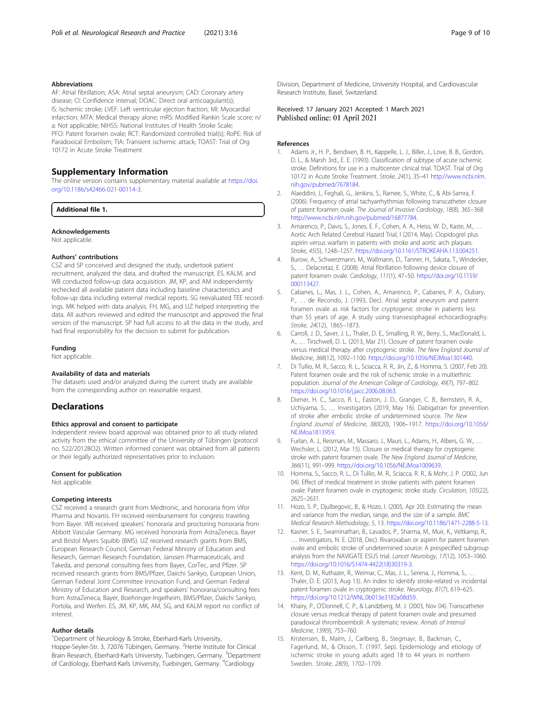#### <span id="page-8-0"></span>Abbreviations

AF: Atrial fibrillation; ASA: Atrial septal aneurysm; CAD: Coronary artery disease; CI: Confidence interval; DOAC: Direct oral anticoagulant(s); IS: Ischemic stroke; LVEF: Left ventricular ejection fraction; MI: Myocardial infarction; MTA: Medical therapy alone; mRS: Modified Rankin Scale score; n/ a: Not applicable; NIHSS: National Institutes of Health Stroke Scale; PFO: Patent foramen ovale; RCT: Randomized controlled trial(s); RoPE: Risk of Paradoxical Embolism; TIA: Transient ischemic attack; TOAST: Trial of Org 10172 in Acute Stroke Treatment

## Supplementary Information

The online version contains supplementary material available at [https://doi.](https://doi.org/10.1186/s42466-021-00114-3) [org/10.1186/s42466-021-00114-3.](https://doi.org/10.1186/s42466-021-00114-3)

#### Additional file 1.

#### Acknowledgements

Not applicable.

#### Authors' contributions

CSZ and SP conceived and designed the study, undertook patient recruitment, analyzed the data, and drafted the manuscript. ES, KALM, and WB conducted follow-up data acquisition. JM, KP, and AM independently rechecked all available patient data including baseline characteristics and follow-up data including external medical reports. SG reevaluated TEE recordings. MK helped with data analysis. FH, MG, and UZ helped interpreting the data. All authors reviewed and edited the manuscript and approved the final version of the manuscript. SP had full access to all the data in the study, and had final responsibility for the decision to submit for publication.

#### Funding

Not applicable.

#### Availability of data and materials

The datasets used and/or analyzed during the current study are available from the corresponding author on reasonable request.

#### **Declarations**

#### Ethics approval and consent to participate

Independent review board approval was obtained prior to all study related activity from the ethical committee of the University of Tübingen (protocol no. 522/2012BO2). Written informed consent was obtained from all patients or their legally authorized representatives prior to inclusion.

#### Consent for publication

Not applicable.

#### Competing interests

CSZ received a research grant from Medtronic, and honoraria from Vifor Pharma and Novartis. FH received reimbursement for congress traveling from Bayer. WB received speakers' honoraria and proctoring honoraria from Abbott Vascular Germany. MG received honoraria from AstraZeneca, Bayer and Bristol Myers Squibb (BMS). UZ received research grants from BMS, European Research Council, German Federal Ministry of Education and Research, German Research Foundation, Janssen Pharmaceuticals, and Takeda, and personal consulting fees from Bayer, CorTec, and Pfizer. SP received research grants from BMS/Pfizer, Daiichi Sankyo, European Union, German Federal Joint Committee Innovation Fund, and German Federal Ministry of Education and Research, and speakers' honoraria/consulting fees from AstraZeneca, Bayer, Boehringer-Ingelheim, BMS/Pfizer, Daiichi Sankyo, Portola, and Werfen. ES, JM, KP, MK, AM, SG, and KALM report no conflict of interest.

#### Author details

<sup>1</sup>Department of Neurology & Stroke, Eberhard-Karls University, Hoppe-Seyler-Str. 3, 72076 Tübingen, Germany. <sup>2</sup>Hertie Institute for Clinical Brain Research, Eberhard-Karls University, Tuebingen, Germany. <sup>3</sup>Department of Cardiology, Eberhard-Karls University, Tuebingen, Germany. <sup>4</sup>Cardiology

Division, Department of Medicine, University Hospital, and Cardiovascular Research Institute, Basel, Switzerland.

#### Received: 17 January 2021 Accepted: 1 March 2021 Published online: 01 April 2021

#### References

- Adams Jr., H. P., Bendixen, B. H., Kappelle, L. J., Biller, J., Love, B. B., Gordon, D. L., & Marsh 3rd., E. E. (1993). Classification of subtype of acute ischemic stroke. Definitions for use in a multicenter clinical trial. TOAST. Trial of Org 10172 in Acute Stroke Treatment. Stroke, 24(1), 35–41 [http://www.ncbi.nlm.](http://www.ncbi.nlm.nih.gov/pubmed/7678184) [nih.gov/pubmed/7678184](http://www.ncbi.nlm.nih.gov/pubmed/7678184).
- 2. Alaeddini, J., Feghali, G., Jenkins, S., Ramee, S., White, C., & Abi-Samra, F. (2006). Frequency of atrial tachyarrhythmias following transcatheter closure of patent foramen ovale. The Journal of Invasive Cardiology, 18(8), 365–368 [http://www.ncbi.nlm.nih.gov/pubmed/16877784.](http://www.ncbi.nlm.nih.gov/pubmed/16877784)
- 3. Amarenco, P., Davis, S., Jones, E. F., Cohen, A. A., Heiss, W. D., Kaste, M., … Aortic Arch Related Cerebral Hazard Trial, I (2014, May). Clopidogrel plus aspirin versus warfarin in patients with stroke and aortic arch plaques. Stroke, 45(5), 1248–1257. <https://doi.org/10.1161/STROKEAHA.113.004251>.
- 4. Burow, A., Schwerzmann, M., Wallmann, D., Tanner, H., Sakata, T., Windecker, S., … Delacretaz, E. (2008). Atrial fibrillation following device closure of patent foramen ovale. Cardiology, 111(1), 47–50. [https://doi.org/10.1159/](https://doi.org/10.1159/000113427) [000113427](https://doi.org/10.1159/000113427).
- Cabanes, L., Mas, J. L., Cohen, A., Amarenco, P., Cabanes, P. A., Oubary, P., … de Recondo, J. (1993, Dec). Atrial septal aneurysm and patent foramen ovale as risk factors for cryptogenic stroke in patients less than 55 years of age. A study using transesophageal echocardiography. Stroke, 24(12), 1865–1873.
- 6. Carroll, J. D., Saver, J. L., Thaler, D. E., Smalling, R. W., Berry, S., MacDonald, L. A., … Tirschwell, D. L. (2013, Mar 21). Closure of patent foramen ovale versus medical therapy after cryptogenic stroke. The New England Journal of Medicine, 368(12), 1092–1100. [https://doi.org/10.1056/NEJMoa1301440.](https://doi.org/10.1056/NEJMoa1301440)
- 7. Di Tullio, M. R., Sacco, R. L., Sciacca, R. R., Jin, Z., & Homma, S. (2007, Feb 20). Patent foramen ovale and the risk of ischemic stroke in a multiethnic population. Journal of the American College of Cardiology, 49(7), 797–802. [https://doi.org/10.1016/j.jacc.2006.08.063.](https://doi.org/10.1016/j.jacc.2006.08.063)
- 8. Diener, H. C., Sacco, R. L., Easton, J. D., Granger, C. B., Bernstein, R. A., Uchiyama, S., … Investigators (2019, May 16). Dabigatran for prevention of stroke after embolic stroke of undetermined source. The New England Journal of Medicine, 380(20), 1906–1917. [https://doi.org/10.1056/](https://doi.org/10.1056/NEJMoa1813959) [NEJMoa1813959](https://doi.org/10.1056/NEJMoa1813959).
- 9. Furlan, A. J., Reisman, M., Massaro, J., Mauri, L., Adams, H., Albers, G. W., ... Wechsler, L. (2012, Mar 15). Closure or medical therapy for cryptogenic stroke with patent foramen ovale. The New England Journal of Medicine, 366(11), 991–999. [https://doi.org/10.1056/NEJMoa1009639.](https://doi.org/10.1056/NEJMoa1009639)
- 10. Homma, S., Sacco, R. L., Di Tullio, M. R., Sciacca, R. R., & Mohr, J. P. (2002, Jun 04). Effect of medical treatment in stroke patients with patent foramen ovale: Patent foramen ovale in cryptogenic stroke study. Circulation, 105(22), 2625–2631.
- 11. Hozo, S. P., Djulbegovic, B., & Hozo, I. (2005, Apr 20). Estimating the mean and variance from the median, range, and the size of a sample. BMC Medical Research Methodology, 5, 13. <https://doi.org/10.1186/1471-2288-5-13>.
- 12. Kasner, S. E., Swaminathan, B., Lavados, P., Sharma, M., Muir, K., Veltkamp, R., … Investigators, N. E. (2018, Dec). Rivaroxaban or aspirin for patent foramen ovale and embolic stroke of undetermined source: A prespecified subgroup analysis from the NAVIGATE ESUS trial. Lancet Neurology, 17(12), 1053–1060. [https://doi.org/10.1016/S1474-4422\(18\)30319-3.](https://doi.org/10.1016/S1474-4422(18)30319-3)
- 13. Kent, D. M., Ruthazer, R., Weimar, C., Mas, J. L., Serena, J., Homma, S., … Thaler, D. E. (2013, Aug 13). An index to identify stroke-related vs incidental patent foramen ovale in cryptogenic stroke. Neurology, 81(7), 619–625. [https://doi.org/10.1212/WNL.0b013e3182a08d59.](https://doi.org/10.1212/WNL.0b013e3182a08d59)
- 14. Khairy, P., O'Donnell, C. P., & Landzberg, M. J. (2003, Nov 04). Transcatheter closure versus medical therapy of patent foramen ovale and presumed paradoxical thromboemboli: A systematic review. Annals of Internal Medicine, 139(9), 753–760.
- 15. Kristensen, B., Malm, J., Carlberg, B., Stegmayr, B., Backman, C., Fagerlund, M., & Olsson, T. (1997, Sep). Epidemiology and etiology of ischemic stroke in young adults aged 18 to 44 years in northern Sweden. Stroke, 28(9), 1702–1709.